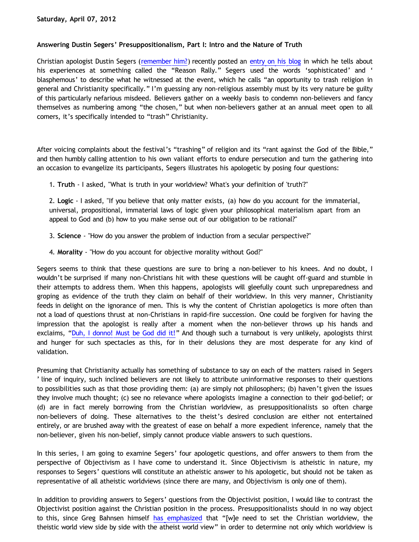## **Answering Dustin Segers' Presuppositionalism, Part I: Intro and the Nature of Truth**

Christian apologist Dustin Segers ([remember him?](http://katholon.com/Doofusman.htm)) recently posted an [entry on his blog](http://graceinthetriad.blogspot.com/2012/03/outreach-report-reason-rally-2012.html) in which he tells about his experiences at something called the "Reason Rally." Segers used the words 'sophisticated' and ' blasphemous' to describe what he witnessed at the event, which he calls "an opportunity to trash religion in general and Christianity specifically." I'm guessing any non-religious assembly must by its very nature be guilty of this particularly nefarious misdeed. Believers gather on a weekly basis to condemn non-believers and fancy themselves as numbering among "the chosen," but when non-believers gather at an annual meet open to all comers, it's specifically intended to "trash" Christianity.

After voicing complaints about the festival's "trashing" of religion and its "rant against the God of the Bible," and then humbly calling attention to his own valiant efforts to endure persecution and turn the gathering into an occasion to evangelize its participants, Segers illustrates his apologetic by posing four questions:

1. **Truth** - I asked, "What is truth in your worldview? What's your definition of 'truth'?"

2. **Logic** - I asked, "If you believe that only matter exists, (a) how do you account for the immaterial, universal, propositional, immaterial laws of logic given your philosophical materialism apart from an appeal to God and (b) how to you make sense out of our obligation to be rational?"

- 3. **Science** "How do you answer the problem of induction from a secular perspective?"
- 4. **Morality** "How do you account for objective morality without God?"

Segers seems to think that these questions are sure to bring a non-believer to his knees. And no doubt, I wouldn't be surprised if many non-Christians hit with these questions will be caught off-guard and stumble in their attempts to address them. When this happens, apologists will gleefully count such unpreparedness and groping as evidence of the truth they claim on behalf of their worldview. In this very manner, Christianity feeds in delight on the ignorance of men. This is why the content of Christian apologetics is more often than not a load of questions thrust at non-Christians in rapid-fire succession. One could be forgiven for having the impression that the apologist is really after a moment when the non-believer throws up his hands and exclaims, "[Duh, I donno! Must be God did it!](http://www.katholon.com/duh15.wav)" And though such a turnabout is very unlikely, apologists thirst and hunger for such spectacles as this, for in their delusions they are most desperate for any kind of validation.

Presuming that Christianity actually has something of substance to say on each of the matters raised in Segers ' line of inquiry, such inclined believers are not likely to attribute uninformative responses to their questions to possibilities such as that those providing them: (a) are simply not philosophers; (b) haven't given the issues they involve much thought; (c) see no relevance where apologists imagine a connection to their god-belief; or (d) are in fact merely borrowing from the Christian worldview, as presuppositionalists so often charge non-believers of doing. These alternatives to the theist's desired conclusion are either not entertained entirely, or are brushed away with the greatest of ease on behalf a more expedient inference, namely that the non-believer, given his non-belief, simply cannot produce viable answers to such questions.

In this series, I am going to examine Segers' four apologetic questions, and offer answers to them from the perspective of Objectivism as I have come to understand it. Since Objectivism is atheistic in nature, my responses to Segers' questions will constitute an atheistic answer to his apologetic, but should not be taken as representative of all atheistic worldviews (since there are many, and Objectivism is only one of them).

In addition to providing answers to Segers' questions from the Objectivist position, I would like to contrast the Objectivist position against the Christian position in the process. Presuppositionalists should in no way object to this, since Greg Bahnsen himself [has emphasized](http://www.forananswer.org/Top_Ath/Bahnsen_Tabash.pdf) that "[w]e need to set the Christian worldview, the theistic world view side by side with the atheist world view" in order to determine not only which worldview is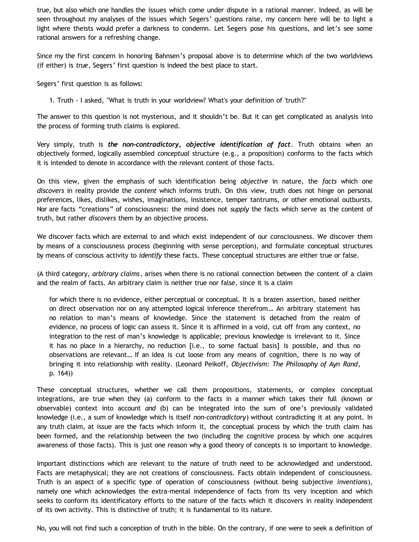true, but also which one handles the issues which come under dispute in a rational manner. Indeed, as will be seen throughout my analyses of the issues which Segers' questions raise, my concern here will be to light a light where theists would prefer a darkness to condemn. Let Segers pose his questions, and let's see some rational answers for a refreshing change.

Since my the first concern in honoring Bahnsen's proposal above is to determine which of the two worldviews (if either) is *true*, Segers' first question is indeed the best place to start.

Segers' first question is as follows:

1. Truth - I asked, "What is truth in your worldview? What's your definition of 'truth'?"

The answer to this question is not mysterious, and it shouldn't be. But it can get complicated as analysis into the process of forming truth claims is explored.

Very simply, truth is *the non-contradictory, objective identification of fact*. Truth obtains when an objectively formed, logically assembled *conceptual* structure (e.g., a proposition) conforms to the facts which it is intended to denote in accordance with the relevant content of those facts.

On this view, given the emphasis of such identification being *objective* in nature, the *facts* which one *discovers* in reality provide the *content* which informs truth. On this view, truth does not hinge on personal preferences, likes, dislikes, wishes, imaginations, insistence, temper tantrums, or other emotional outbursts. Nor are facts "creations" of consciousness: the mind does not *supply* the facts which serve as the content of truth, but rather *discovers* them by an objective process.

We discover facts which are external to and which exist independent of our consciousness. We discover them by means of a consciousness process (beginning with sense perception), and formulate conceptual structures by means of conscious activity to *identify* these facts. These conceptual structures are either true or false.

(A third category, *arbitrary claims*, arises when there is no rational connection between the content of a claim and the realm of facts. An arbitrary claim is neither true nor false, since it is a claim

for which there is no evidence, either perceptual or conceptual. It is a brazen assertion, based neither on direct observation nor on any attempted logical inference therefrom… An arbitrary statement has no relation to man's means of knowledge. Since the statement is detached from the realm of evidence, no process of logic can assess it. Since it is affirmed in a void, cut off from any context, no integration to the rest of man's knowledge is applicable; previous knowledge is irrelevant to it. Since it has no place in a hierarchy, no reduction [i.e., to some factual basis] is possible, and thus no observations are relevant… If an idea is cut loose from any means of cognition, there is no way of bringing it into relationship with reality. (Leonard Peikoff, *Objectivism: The Philosophy of Ayn Rand*, p. 164))

These conceptual structures, whether we call them propositions, statements, or complex conceptual integrations, are true when they (a) conform to the facts in a manner which takes their full (known or observable) context into account *and* (b) can be integrated into the sum of one's previously validated knowledge (i.e., a sum of knowledge which is itself *non-contradictory*) without contradicting it at any point. In any truth claim, at issue are the facts which inform it, the conceptual process by which the truth claim has been formed, and the relationship between the two (including the cognitive process by which one acquires awareness of those facts). This is just one reason why a good theory of concepts is so important to knowledge.

Important distinctions which are relevant to the nature of truth need to be acknowledged and understood. Facts are metaphysical; they are not creations of consciousness. Facts obtain independent of consciousness. Truth is an aspect of a specific type of operation of consciousness (without being subjective *inventions*), namely one which acknowledges the extra-mental independence of facts from its very inception and which seeks to conform its identificatory efforts to the nature of the facts which it discovers in reality independent of its own activity. This is distinctive of truth; it is fundamental to its nature.

No, you will not find such a conception of truth in the bible. On the contrary, if one were to seek a definition of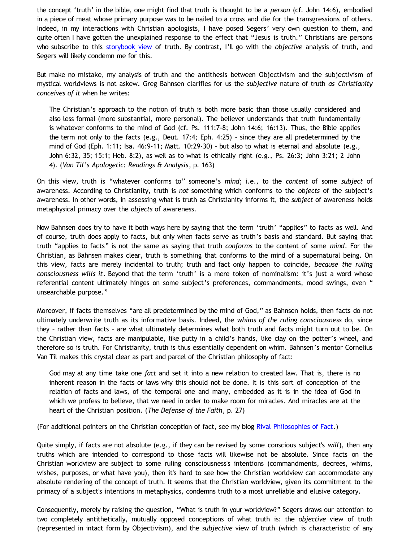the concept 'truth' in the bible, one might find that truth is thought to be a *person* (cf. John 14:6), embodied in a piece of meat whose primary purpose was to be nailed to a cross and die for the transgressions of others. Indeed, in my interactions with Christian apologists, I have posed Segers' very own question to them, and quite often I have gotten the unexplained response to the effect that "Jesus is truth." Christians are persons who subscribe to this [storybook view](http://bahnsenburner.blogspot.com/2010/07/storybook-worldview.html) of truth. By contrast, I'll go with the *objective* analysis of truth, and Segers will likely condemn me for this.

But make no mistake, my analysis of truth and the antithesis between Objectivism and the subjectivism of mystical worldviews is not askew. Greg Bahnsen clarifies for us the *subjective* nature of truth *as Christianity conceives of it* when he writes:

The Christian's approach to the notion of truth is both more basic than those usually considered and also less formal (more substantial, more personal). The believer understands that truth fundamentally is whatever conforms to the mind of God (cf. Ps. 111:7-8; John 14:6; 16:13). Thus, the Bible applies the term not only to the facts (e.g., Deut. 17:4; Eph. 4:25) – since they are all predetermined by the mind of God (Eph. 1:11; Isa. 46:9-11; Matt. 10:29-30) – but also to what is eternal and absolute (e.g., John 6:32, 35; 15:1; Heb. 8:2), as well as to what is ethically right (e.g., Ps. 26:3; John 3:21; 2 John 4). (*Van Til's Apologetic: Readings & Analysis*, p. 163)

On this view, truth is "whatever conforms to" someone's *mind*; i.e., to the *content* of some *subject* of awareness. According to Christianity, truth is *not* something which conforms to the *objects* of the subject's awareness. In other words, in assessing what is truth as Christianity informs it, the *subject* of awareness holds metaphysical primacy over the *objects* of awareness.

Now Bahnsen does try to have it both ways here by saying that the term 'truth' "applies" to facts as well. And of course, truth does apply to facts, but only when facts serve as truth's basis and standard. But saying that truth "applies to facts" is not the same as saying that truth *conforms* to the content of some *mind*. For the Christian, as Bahnsen makes clear, truth is something that conforms to the mind of a supernatural being. On this view, facts are merely incidental to truth; truth and fact only happen to coincide, *because the ruling consciousness wills it*. Beyond that the term 'truth' is a mere token of nominalism: it's just a word whose referential content ultimately hinges on some subject's preferences, commandments, mood swings, even " unsearchable purpose."

Moreover, if facts themselves "are all predetermined by the mind of God," as Bahnsen holds, then facts do not ultimately underwrite truth as its informative basis. Indeed, the *whims of the ruling consciousness* do, since they – rather than facts – are what ultimately determines what both truth and facts might turn out to be. On the Christian view, facts are manipulable, like putty in a child's hands, like clay on the potter's wheel, and therefore so is truth. For Christianity, truth is thus essentially dependent on whim. Bahnsen's mentor Cornelius Van Til makes this crystal clear as part and parcel of the Christian philosophy of fact:

God may at any time take one *fact* and set it into a new relation to created law. That is, there is no inherent reason in the facts or laws why this should not be done. It is this sort of conception of the relation of facts and laws, of the temporal one and many, embedded as it is in the idea of God in which we profess to believe, that we need in order to make room for miracles. And miracles are at the heart of the Christian position. (*The Defense of the Faith*, p. 27)

(For additional pointers on the Christian conception of fact, see my blog [Rival Philosophies of Fact.](http://bahnsenburner.blogspot.com/2008/11/rival-philosophies-of-fact.html))

Quite simply, if facts are not absolute (e.g., if they can be revised by some conscious subject's *will*), then any truths which are intended to correspond to those facts will likewise not be absolute. Since facts on the Christian worldview are subject to some ruling consciousness's intentions (commandments, decrees, whims, wishes, purposes, or what have you), then it's hard to see how the Christian worldview can accommodate any absolute rendering of the concept of truth. It seems that the Christian worldview, given its commitment to the primacy of a subject's intentions in metaphysics, condemns truth to a most unreliable and elusive category.

Consequently, merely by raising the question, "What is truth in your worldview?" Segers draws our attention to two completely antithetically, mutually opposed conceptions of what truth is: the *objective* view of truth (represented in intact form by Objectivism), and the *subjective* view of truth (which is characteristic of any